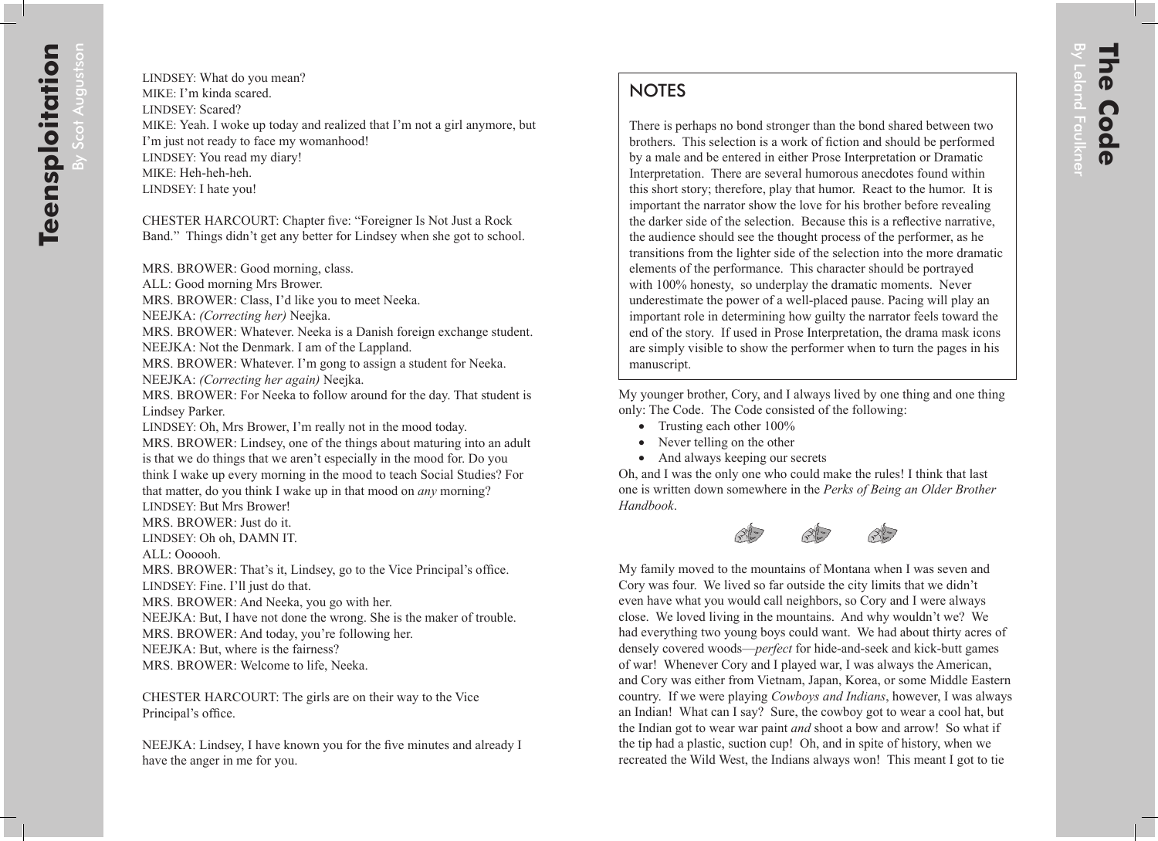There is perhaps no bond stronger than the bond shared between two brothers. This selection is a work of fiction and should be performed by a male and be entered in either Prose Interpretation or Dramatic Interpretation. There are several humorous anecdotes found within this short story; therefore, play that humor. React to the humor. It is important the narrator show the love for his brother before revealing the darker side of the selection. Because this is a reflective narrative, the audience should see the thought process of the performer, as he transitions from the lighter side of the selection into the more dramatic elements of the performance. This character should be portrayed with 100% honesty, so underplay the dramatic moments. Never underestimate the power of a well-placed pause. Pacing will play an important role in determining how guilty the narrator feels toward the end of the story. If used in Prose Interpretation, the drama mask icons are simply visible to show the performer when to turn the pages in his manuscript.

My younger brother, Cory, and I always lived by one thing and one thing only: The Code. The Code consisted of the following:

- Trusting each other  $100\%$
- Never telling on the other
- And always keeping our secrets

Oh, and I was the only one who could make the rules! I think that last one is written down somewhere in the *Perks of Being an Older Brother Handbook*.



My family moved to the mountains of Montana when I was seven and Cory was four. We lived so far outside the city limits that we didn't even have what you would call neighbors, so Cory and I were always close. We loved living in the mountains. And why wouldn't we? We had everything two young boys could want. We had about thirty acres of densely covered woods—*perfect* for hide-and-seek and kick-butt games of war! Whenever Cory and I played war, I was always the American, and Cory was either from Vietnam, Japan, Korea, or some Middle Eastern country. If we were playing *Cowboys and Indians*, however, I was always an Indian! What can I say? Sure, the cowboy got to wear a cool hat, but the Indian got to wear war paint *and* shoot a bow and arrow! So what if the tip had a plastic, suction cup! Oh, and in spite of history, when we recreated the Wild West, the Indians always won! This meant I got to tie